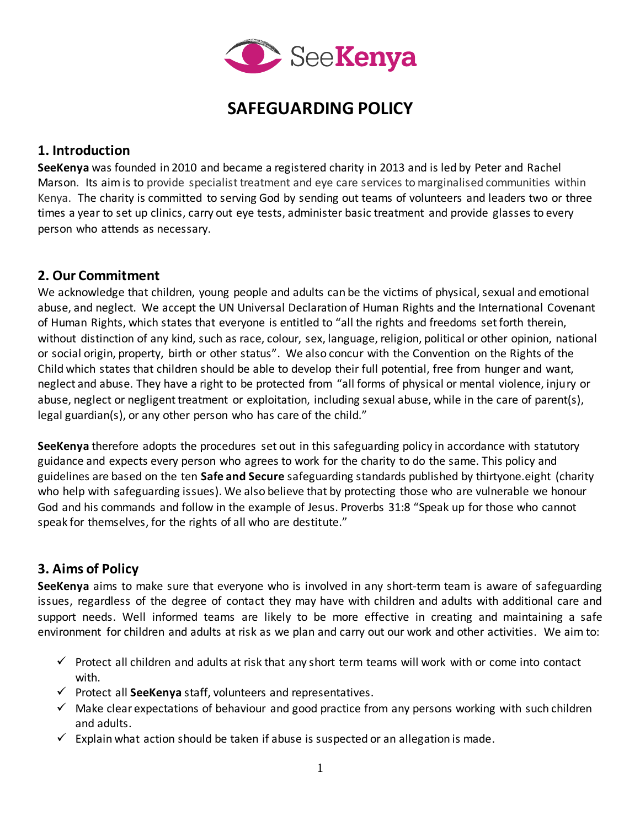

# **SAFEGUARDING POLICY**

### **1. Introduction**

**SeeKenya** was founded in 2010 and became a registered charity in 2013 and is led by Peter and Rachel Marson. Its aimis to provide specialist treatment and eye care services to marginalised communities within Kenya. The charity is committed to serving God by sending out teams of volunteers and leaders two or three times a year to set up clinics, carry out eye tests, administer basic treatment and provide glasses to every person who attends as necessary.

## **2. Our Commitment**

We acknowledge that children, young people and adults can be the victims of physical, sexual and emotional abuse, and neglect. We accept the UN Universal Declaration of Human Rights and the International Covenant of Human Rights, which states that everyone is entitled to "all the rights and freedoms set forth therein, without distinction of any kind, such as race, colour, sex, language, religion, political or other opinion, national or social origin, property, birth or other status". We also concur with the Convention on the Rights of the Child which states that children should be able to develop their full potential, free from hunger and want, neglect and abuse. They have a right to be protected from "all forms of physical or mental violence, injury or abuse, neglect or negligent treatment or exploitation, including sexual abuse, while in the care of parent(s), legal guardian(s), or any other person who has care of the child."

**SeeKenya** therefore adopts the procedures set out in this safeguarding policy in accordance with statutory guidance and expects every person who agrees to work for the charity to do the same. This policy and guidelines are based on the ten **Safe and Secure** safeguarding standards published by thirtyone.eight (charity who help with safeguarding issues). We also believe that by protecting those who are vulnerable we honour God and his commands and follow in the example of Jesus. Proverbs 31:8 "Speak up for those who cannot speak for themselves, for the rights of all who are destitute."

## **3. Aims of Policy**

**SeeKenya** aims to make sure that everyone who is involved in any short-term team is aware of safeguarding issues, regardless of the degree of contact they may have with children and adults with additional care and support needs. Well informed teams are likely to be more effective in creating and maintaining a safe environment for children and adults at risk as we plan and carry out our work and other activities. We aim to:

- $\checkmark$  Protect all children and adults at risk that any short term teams will work with or come into contact with.
- $\checkmark$  Protect all **SeeKenya** staff, volunteers and representatives.
- $\checkmark$  Make clear expectations of behaviour and good practice from any persons working with such children and adults.
- $\checkmark$  Explain what action should be taken if abuse is suspected or an allegation is made.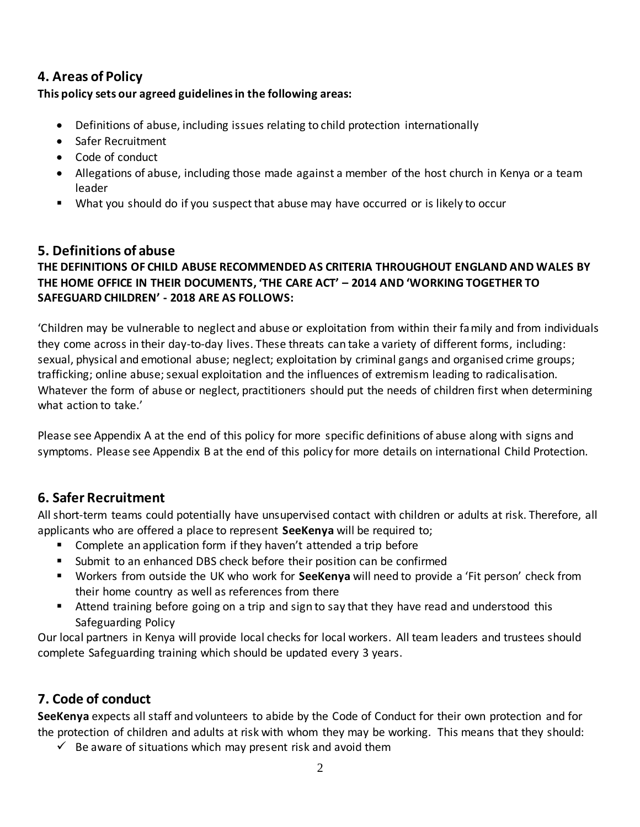## **4. Areas of Policy**

### **This policy sets our agreed guidelines in the following areas:**

- Definitions of abuse, including issues relating to child protection internationally
- Safer Recruitment
- Code of conduct
- Allegations of abuse, including those made against a member of the host church in Kenya or a team leader
- What you should do if you suspect that abuse may have occurred or is likely to occur

## **5. Definitions of abuse**

### **THE DEFINITIONS OF CHILD ABUSE RECOMMENDED AS CRITERIA THROUGHOUT ENGLAND AND WALES BY THE HOME OFFICE IN THEIR DOCUMENTS, 'THE CARE ACT' – 2014 AND 'WORKING TOGETHER TO SAFEGUARD CHILDREN' - 2018 ARE AS FOLLOWS:**

'Children may be vulnerable to neglect and abuse or exploitation from within their family and from individuals they come across in their day-to-day lives. These threats can take a variety of different forms, including: sexual, physical and emotional abuse; neglect; exploitation by criminal gangs and organised crime groups; trafficking; online abuse; sexual exploitation and the influences of extremism leading to radicalisation. Whatever the form of abuse or neglect, practitioners should put the needs of children first when determining what action to take.'

Please see Appendix A at the end of this policy for more specific definitions of abuse along with signs and symptoms. Please see Appendix B at the end of this policy for more details on international Child Protection.

## **6. Safer Recruitment**

All short-term teams could potentially have unsupervised contact with children or adults at risk. Therefore, all applicants who are offered a place to represent **SeeKenya** will be required to;

- Complete an application form if they haven't attended a trip before
- Submit to an enhanced DBS check before their position can be confirmed
- Workers from outside the UK who work for **SeeKenya** will need to provide a 'Fit person' check from their home country as well as references from there
- Attend training before going on a trip and sign to say that they have read and understood this Safeguarding Policy

Our local partners in Kenya will provide local checks for local workers. All team leaders and trustees should complete Safeguarding training which should be updated every 3 years.

## **7. Code of conduct**

**SeeKenya** expects all staff and volunteers to abide by the Code of Conduct for their own protection and for the protection of children and adults at risk with whom they may be working. This means that they should:

 $\checkmark$  Be aware of situations which may present risk and avoid them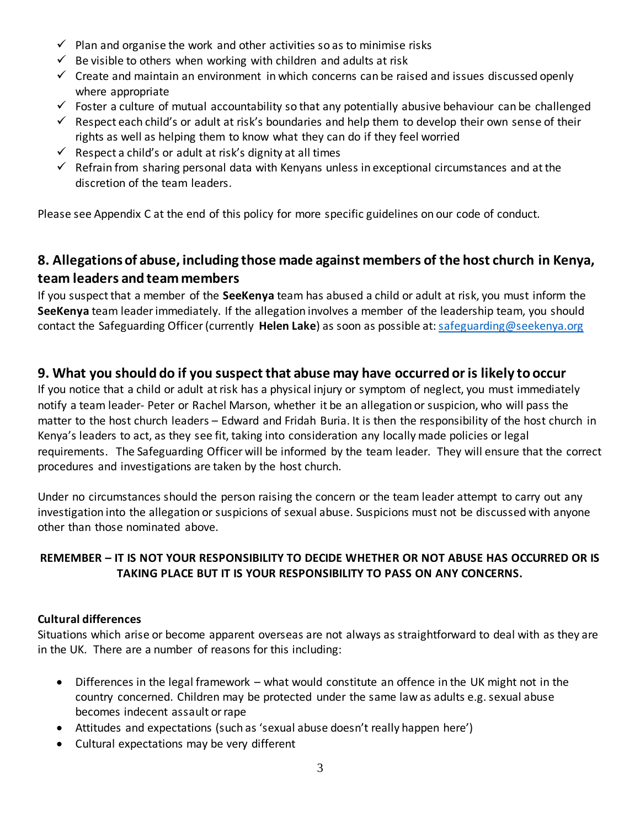- $\checkmark$  Plan and organise the work and other activities so as to minimise risks
- $\checkmark$  Be visible to others when working with children and adults at risk
- $\checkmark$  Create and maintain an environment in which concerns can be raised and issues discussed openly where appropriate
- $\checkmark$  Foster a culture of mutual accountability so that any potentially abusive behaviour can be challenged
- $\checkmark$  Respect each child's or adult at risk's boundaries and help them to develop their own sense of their rights as well as helping them to know what they can do if they feel worried
- $\checkmark$  Respect a child's or adult at risk's dignity at all times
- $\checkmark$  Refrain from sharing personal data with Kenyans unless in exceptional circumstances and at the discretion of the team leaders.

Please see Appendix C at the end of this policy for more specific guidelines on our code of conduct.

## **8. Allegations of abuse, including those made against members of the host church in Kenya, team leaders and team members**

If you suspect that a member of the **SeeKenya** team has abused a child or adult at risk, you must inform the **SeeKenya** team leader immediately. If the allegation involves a member of the leadership team, you should contact the Safeguarding Officer (currently **Helen Lake**) as soon as possible at[: safeguarding@seekenya.org](mailto:lakers-@tiscali.co.uk)

## **9. What you should do if you suspect that abuse may have occurred or is likely to occur**

If you notice that a child or adult at risk has a physical injury or symptom of neglect, you must immediately notify a team leader- Peter or Rachel Marson, whether it be an allegation or suspicion, who will pass the matter to the host church leaders – Edward and Fridah Buria. It is then the responsibility of the host church in Kenya's leaders to act, as they see fit, taking into consideration any locally made policies or legal requirements. The Safeguarding Officer will be informed by the team leader. They will ensure that the correct procedures and investigations are taken by the host church.

Under no circumstances should the person raising the concern or the team leader attempt to carry out any investigation into the allegation or suspicions of sexual abuse. Suspicions must not be discussed with anyone other than those nominated above.

### **REMEMBER – IT IS NOT YOUR RESPONSIBILITY TO DECIDE WHETHER OR NOT ABUSE HAS OCCURRED OR IS TAKING PLACE BUT IT IS YOUR RESPONSIBILITY TO PASS ON ANY CONCERNS.**

### **Cultural differences**

Situations which arise or become apparent overseas are not always as straightforward to deal with as they are in the UK. There are a number of reasons for this including:

- Differences in the legal framework what would constitute an offence in the UK might not in the country concerned. Children may be protected under the same law as adults e.g. sexual abuse becomes indecent assault or rape
- Attitudes and expectations (such as 'sexual abuse doesn't really happen here')
- Cultural expectations may be very different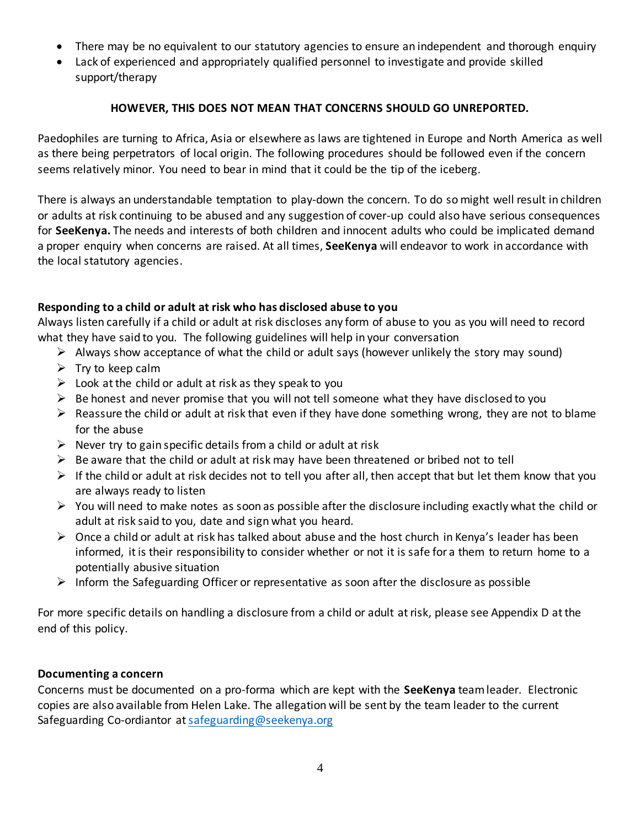- There may be no equivalent to our statutory agencies to ensure an independent and thorough enquiry
- Lack of experienced and appropriately qualified personnel to investigate and provide skilled support/therapy

#### **HOWEVER, THIS DOES NOT MEAN THAT CONCERNS SHOULD GO UNREPORTED.**

Paedophiles are turning to Africa, Asia or elsewhere as laws are tightened in Europe and North America as well as there being perpetrators of local origin. The following procedures should be followed even if the concern seems relatively minor. You need to bear in mind that it could be the tip of the iceberg.

There is always an understandable temptation to play-down the concern. To do so might well result in children or adults at risk continuing to be abused and any suggestion of cover-up could also have serious consequences for **SeeKenya.** The needs and interests of both children and innocent adults who could be implicated demand a proper enquiry when concerns are raised. At all times, **SeeKenya** will endeavor to work in accordance with the local statutory agencies.

#### **Responding to a child or adult at risk who has disclosed abuse to you**

Always listen carefully if a child or adult at risk discloses any form of abuse to you as you will need to record what they have said to you. The following guidelines will help in your conversation

- $\triangleright$  Always show acceptance of what the child or adult says (however unlikely the story may sound)
- $\triangleright$  Try to keep calm
- $\triangleright$  Look at the child or adult at risk as they speak to you
- $\triangleright$  Be honest and never promise that you will not tell someone what they have disclosed to you
- $\triangleright$  Reassure the child or adult at risk that even if they have done something wrong, they are not to blame for the abuse
- $\triangleright$  Never try to gain specific details from a child or adult at risk
- $\triangleright$  Be aware that the child or adult at risk may have been threatened or bribed not to tell
- $\triangleright$  If the child or adult at risk decides not to tell you after all, then accept that but let them know that you are always ready to listen
- $\triangleright$  You will need to make notes as soon as possible after the disclosure including exactly what the child or adult at risk said to you, date and sign what you heard.
- $\triangleright$  Once a child or adult at risk has talked about abuse and the host church in Kenya's leader has been informed, it is their responsibility to consider whether or not it is safe for a them to return home to a potentially abusive situation
- $\triangleright$  Inform the Safeguarding Officer or representative as soon after the disclosure as possible

For more specific details on handling a disclosure from a child or adult at risk, please see Appendix D at the end of this policy.

#### **Documenting a concern**

Concerns must be documented on a pro-forma which are kept with the **SeeKenya** team leader. Electronic copies are also available from Helen Lake. The allegation will be sent by the team leader to the current Safeguarding Co-ordiantor a[t safeguarding@seekenya.org](mailto:safeguarding@seekenya.org)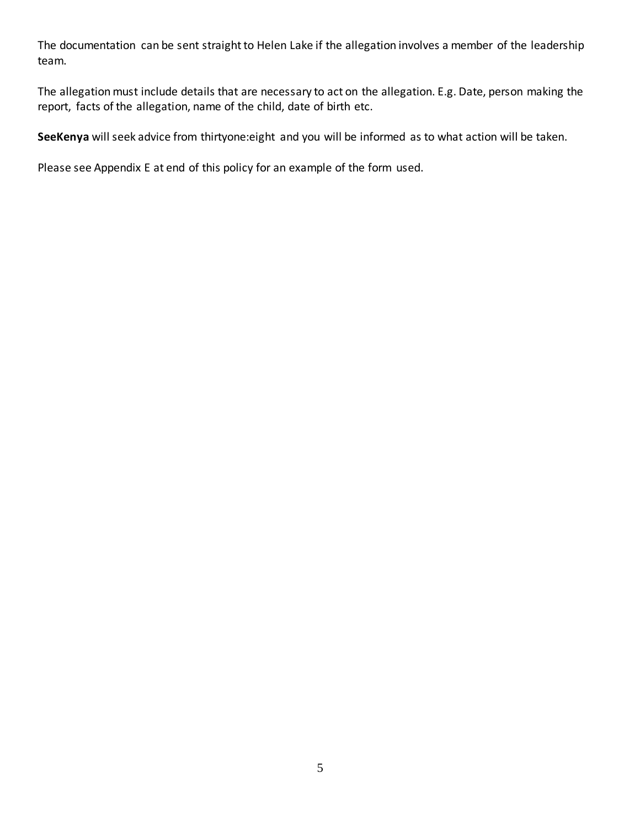The documentation can be sent straight to Helen Lake if the allegation involves a member of the leadership team.

The allegation must include details that are necessary to act on the allegation. E.g. Date, person making the report, facts of the allegation, name of the child, date of birth etc.

**SeeKenya** will seek advice from thirtyone:eight and you will be informed as to what action will be taken.

Please see Appendix E at end of this policy for an example of the form used.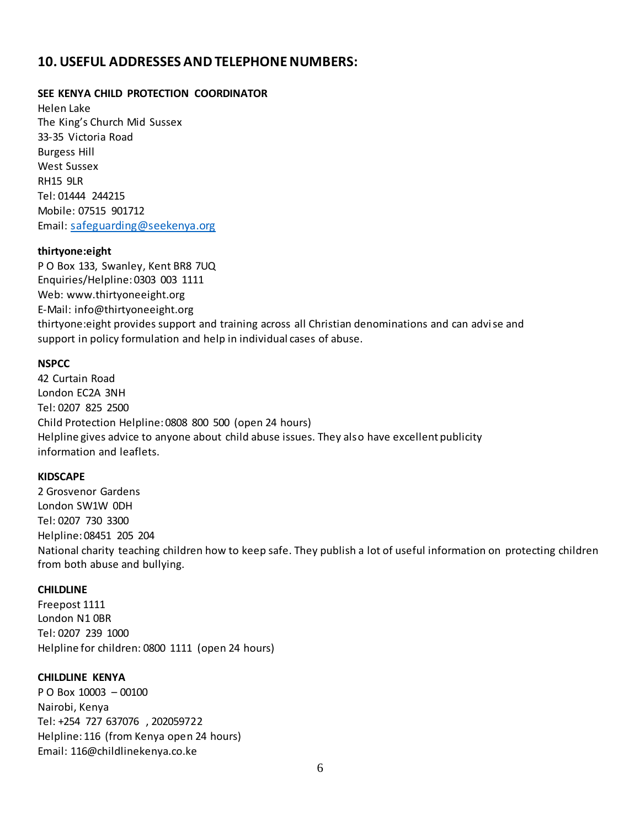### **10. USEFUL ADDRESSES AND TELEPHONE NUMBERS:**

#### **SEE KENYA CHILD PROTECTION COORDINATOR**

Helen Lake The King's Church Mid Sussex 33-35 Victoria Road Burgess Hill West Sussex RH15 9LR Tel: 01444 244215 Mobile: 07515 901712 Email: [safeguarding@seekenya.org](mailto:safeguarding@seekenya.org)

#### **thirtyone:eight**

P O Box 133, Swanley, Kent BR8 7UQ Enquiries/Helpline: 0303 003 1111 Web: www.thirtyoneeight.org E-Mail: info@thirtyoneeight.org thirtyone:eight provides support and training across all Christian denominations and can advise and support in policy formulation and help in individual cases of abuse.

#### **NSPCC**

42 Curtain Road London EC2A 3NH Tel: 0207 825 2500 Child Protection Helpline: 0808 800 500 (open 24 hours) Helpline gives advice to anyone about child abuse issues. They also have excellent publicity information and leaflets.

#### **KIDSCAPE**

2 Grosvenor Gardens London SW1W 0DH Tel: 0207 730 3300 Helpline: 08451 205 204 National charity teaching children how to keep safe. They publish a lot of useful information on protecting children from both abuse and bullying.

#### **CHILDLINE**

Freepost 1111 London N1 0BR Tel: 0207 239 1000 Helpline for children: 0800 1111 (open 24 hours)

#### **CHILDLINE KENYA**

P O Box 10003 – 00100 Nairobi, Kenya Tel: +254 727 637076 , 202059722 Helpline: 116 (from Kenya open 24 hours) Email: 116@childlinekenya.co.ke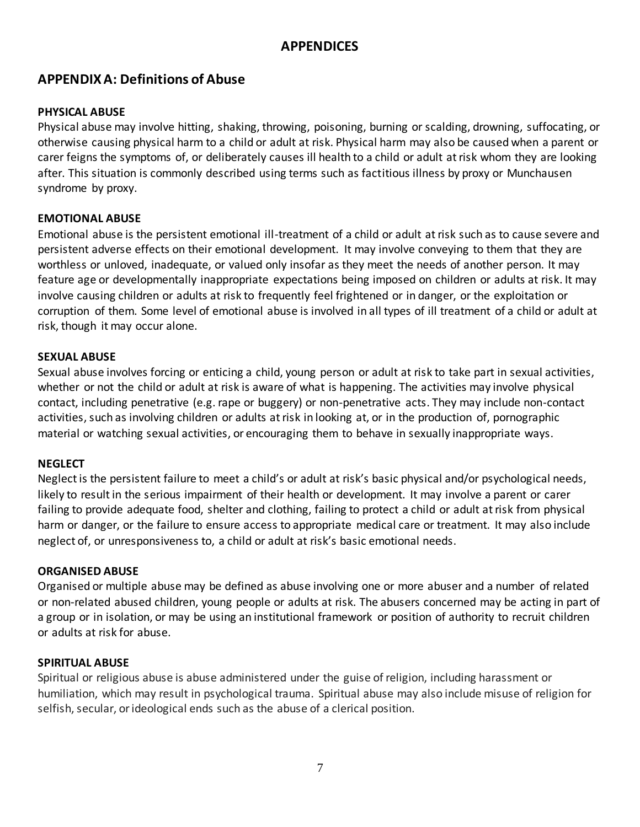## **APPENDICES**

## **APPENDIX A: Definitions of Abuse**

#### **PHYSICAL ABUSE**

Physical abuse may involve hitting, shaking, throwing, poisoning, burning or scalding, drowning, suffocating, or otherwise causing physical harm to a child or adult at risk. Physical harm may also be caused when a parent or carer feigns the symptoms of, or deliberately causes ill health to a child or adult at risk whom they are looking after. This situation is commonly described using terms such as factitious illness by proxy or Munchausen syndrome by proxy.

#### **EMOTIONAL ABUSE**

Emotional abuse is the persistent emotional ill-treatment of a child or adult at risk such as to cause severe and persistent adverse effects on their emotional development. It may involve conveying to them that they are worthless or unloved, inadequate, or valued only insofar as they meet the needs of another person. It may feature age or developmentally inappropriate expectations being imposed on children or adults at risk. It may involve causing children or adults at risk to frequently feel frightened or in danger, or the exploitation or corruption of them. Some level of emotional abuse is involved in all types of ill treatment of a child or adult at risk, though it may occur alone.

#### **SEXUAL ABUSE**

Sexual abuse involves forcing or enticing a child, young person or adult at risk to take part in sexual activities, whether or not the child or adult at risk is aware of what is happening. The activities may involve physical contact, including penetrative (e.g. rape or buggery) or non-penetrative acts. They may include non-contact activities, such as involving children or adults at risk in looking at, or in the production of, pornographic material or watching sexual activities, or encouraging them to behave in sexually inappropriate ways.

### **NEGLECT**

Neglect is the persistent failure to meet a child's or adult at risk's basic physical and/or psychological needs, likely to result in the serious impairment of their health or development. It may involve a parent or carer failing to provide adequate food, shelter and clothing, failing to protect a child or adult at risk from physical harm or danger, or the failure to ensure access to appropriate medical care or treatment. It may also include neglect of, or unresponsiveness to, a child or adult at risk's basic emotional needs.

### **ORGANISED ABUSE**

Organised or multiple abuse may be defined as abuse involving one or more abuser and a number of related or non-related abused children, young people or adults at risk. The abusers concerned may be acting in part of a group or in isolation, or may be using an institutional framework or position of authority to recruit children or adults at risk for abuse.

#### **SPIRITUAL ABUSE**

Spiritual or religious abuse is abuse administered under the guise of religion, including harassment or humiliation, which may result in psychological trauma. Spiritual abuse may also include misuse of religion for selfish, secular, or ideological ends such as the abuse of a clerical position.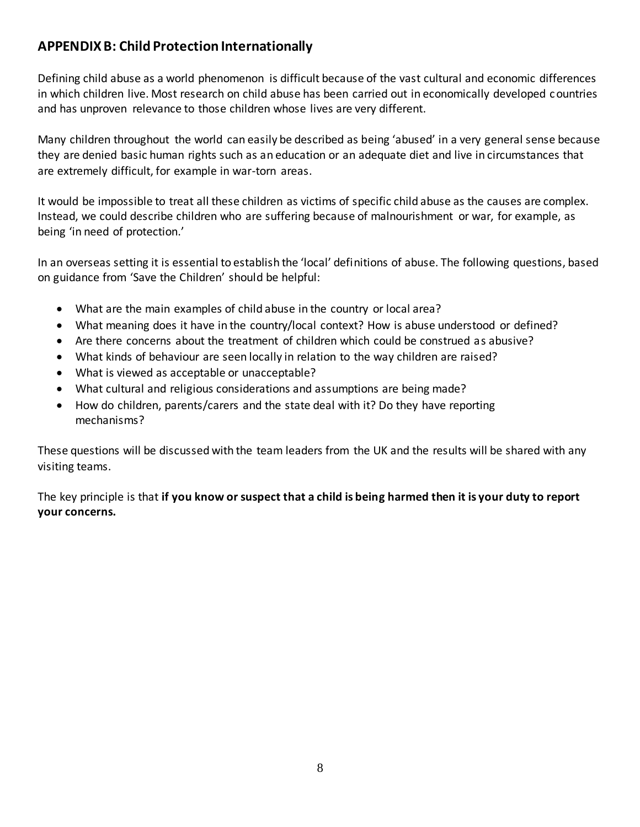## **APPENDIX B: Child Protection Internationally**

Defining child abuse as a world phenomenon is difficult because of the vast cultural and economic differences in which children live. Most research on child abuse has been carried out in economically developed countries and has unproven relevance to those children whose lives are very different.

Many children throughout the world can easily be described as being 'abused' in a very general sense because they are denied basic human rights such as an education or an adequate diet and live in circumstances that are extremely difficult, for example in war-torn areas.

It would be impossible to treat all these children as victims of specific child abuse as the causes are complex. Instead, we could describe children who are suffering because of malnourishment or war, for example, as being 'in need of protection.'

In an overseas setting it is essential to establish the 'local' definitions of abuse. The following questions, based on guidance from 'Save the Children' should be helpful:

- What are the main examples of child abuse in the country or local area?
- What meaning does it have in the country/local context? How is abuse understood or defined?
- Are there concerns about the treatment of children which could be construed as abusive?
- What kinds of behaviour are seen locally in relation to the way children are raised?
- What is viewed as acceptable or unacceptable?
- What cultural and religious considerations and assumptions are being made?
- How do children, parents/carers and the state deal with it? Do they have reporting mechanisms?

These questions will be discussed with the team leaders from the UK and the results will be shared with any visiting teams.

The key principle is that **if you know or suspect that a child is being harmed then it is your duty to report your concerns.**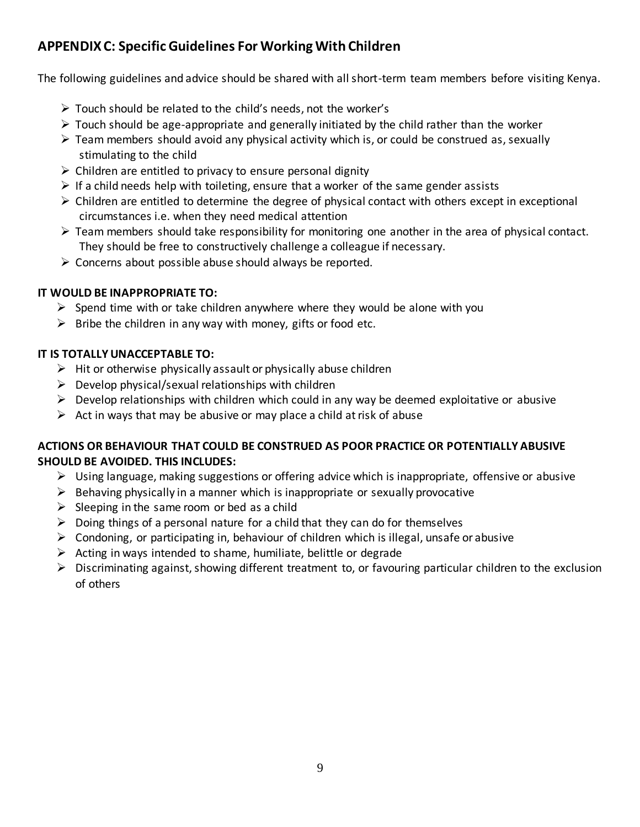## **APPENDIX C: Specific Guidelines For Working With Children**

The following guidelines and advice should be shared with all short-term team members before visiting Kenya.

- Touch should be related to the child's needs, not the worker's
- $\triangleright$  Touch should be age-appropriate and generally initiated by the child rather than the worker
- $\triangleright$  Team members should avoid any physical activity which is, or could be construed as, sexually stimulating to the child
- $\triangleright$  Children are entitled to privacy to ensure personal dignity
- $\triangleright$  If a child needs help with toileting, ensure that a worker of the same gender assists
- $\triangleright$  Children are entitled to determine the degree of physical contact with others except in exceptional circumstances i.e. when they need medical attention
- $\triangleright$  Team members should take responsibility for monitoring one another in the area of physical contact. They should be free to constructively challenge a colleague if necessary.
- $\triangleright$  Concerns about possible abuse should always be reported.

### **IT WOULD BE INAPPROPRIATE TO:**

- $\triangleright$  Spend time with or take children anywhere where they would be alone with you
- $\triangleright$  Bribe the children in any way with money, gifts or food etc.

### **IT IS TOTALLY UNACCEPTABLE TO:**

- $\triangleright$  Hit or otherwise physically assault or physically abuse children
- $\triangleright$  Develop physical/sexual relationships with children
- $\triangleright$  Develop relationships with children which could in any way be deemed exploitative or abusive
- $\triangleright$  Act in ways that may be abusive or may place a child at risk of abuse

### **ACTIONS OR BEHAVIOUR THAT COULD BE CONSTRUED AS POOR PRACTICE OR POTENTIALLY ABUSIVE SHOULD BE AVOIDED. THIS INCLUDES:**

- $\triangleright$  Using language, making suggestions or offering advice which is inappropriate, offensive or abusive
- $\triangleright$  Behaving physically in a manner which is inappropriate or sexually provocative
- $\triangleright$  Sleeping in the same room or bed as a child
- $\triangleright$  Doing things of a personal nature for a child that they can do for themselves
- $\triangleright$  Condoning, or participating in, behaviour of children which is illegal, unsafe or abusive
- $\triangleright$  Acting in ways intended to shame, humiliate, belittle or degrade
- $\triangleright$  Discriminating against, showing different treatment to, or favouring particular children to the exclusion of others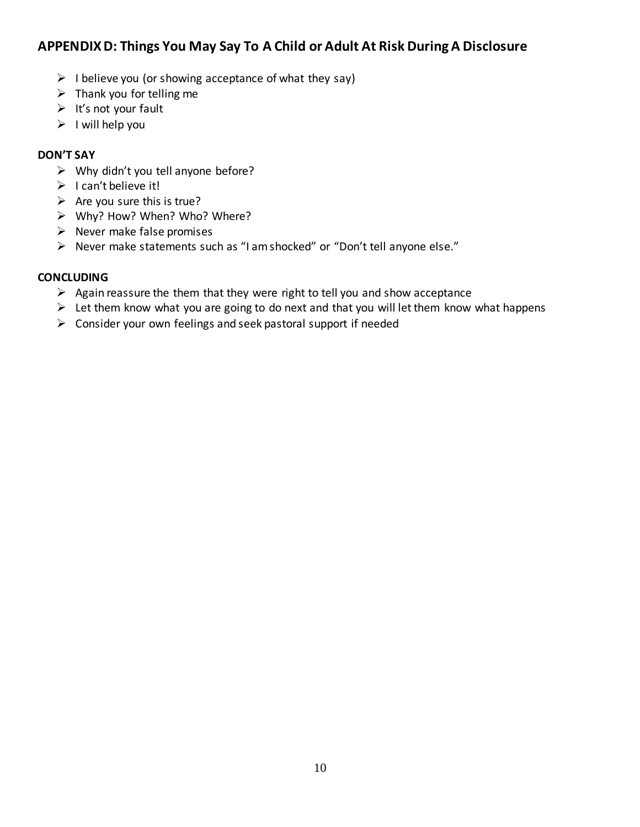## **APPENDIX D: Things You May Say To A Child or Adult At Risk During A Disclosure**

- $\triangleright$  I believe you (or showing acceptance of what they say)
- $\triangleright$  Thank you for telling me
- $\triangleright$  It's not your fault
- $\triangleright$  I will help you

### **DON'T SAY**

- $\triangleright$  Why didn't you tell anyone before?
- $\triangleright$  I can't believe it!
- $\triangleright$  Are you sure this is true?
- Why? How? When? Who? Where?
- $\triangleright$  Never make false promises
- Never make statements such as "I am shocked" or "Don't tell anyone else."

### **CONCLUDING**

- $\triangleright$  Again reassure the them that they were right to tell you and show acceptance
- $\triangleright$  Let them know what you are going to do next and that you will let them know what happens
- $\triangleright$  Consider your own feelings and seek pastoral support if needed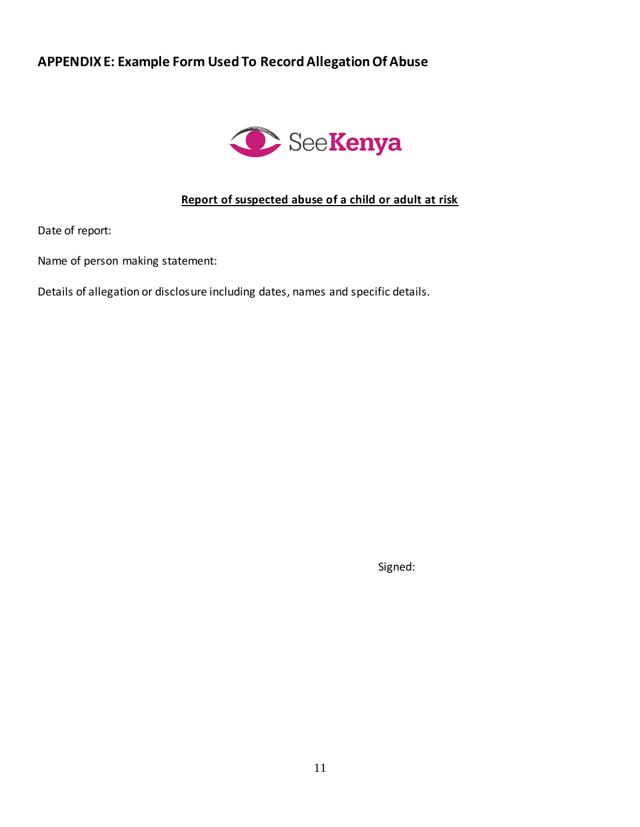## **APPENDIX E: Example Form Used To Record Allegation Of Abuse**



### **Report of suspected abuse of a child or adult at risk**

Date of report:

Name of person making statement:

Details of allegation or disclosure including dates, names and specific details.

Signed: